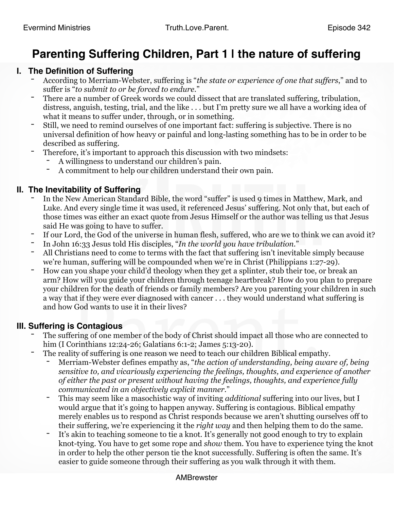# **Parenting Suffering Children, Part 1 | the nature of suffering**

### **I. The Definition of Suffering**

- According to Merriam-Webster, suffering is "*the state or experience of one that suffers*," and to suffer is "*to submit to or be forced to endure*."<br>There are a number of Greek words we could dissect that are translated suffering, tribulation,
- distress, anguish, testing, trial, and the like . . . but I'm pretty sure we all have a working idea of
- what it means to suffer under, through, or in something.<br>Still, we need to remind ourselves of one important fact: suffering is subjective. There is no universal definition of how heavy or painful and long-lasting something has to be in order to be described as suffering.<br>Therefore, it's important to approach this discussion with two mindsets:
- - A willingness to understand our children's pain.
	- A commitment to help our children understand their own pain.

## **II. The Inevitability of Suffering**

- In the New American Standard Bible, the word "suffer" is used 9 times in Matthew, Mark, and Luke. And every single time it was used, it referenced Jesus' suffering. Not only that, but each of those times was either an exact quote from Jesus Himself or the author was telling us that Jesus said He was going to have to suffer.
- If our Lord, the God of the universe in human flesh, suffered, who are we to think we can avoid it?
- 
- <sup>-</sup> In John 16:33 Jesus told His disciples, "*In the world you have tribulation*."<br>- All Christians need to come to terms with the fact that suffering isn't inevitable simply because we're human, suffering will be compounded when we're in Christ (Philippians 1:27-29).
- How can you shape your child'd theology when they get a splinter, stub their toe, or break an arm? How will you guide your children through teenage heartbreak? How do you plan to prepare your children for the death of friends or family members? Are you parenting your children in such a way that if they were ever diagnosed with cancer . . . they would understand what suffering is and how God wants to use it in their lives?

### **III. Suffering is Contagious**

- The suffering of one member of the body of Christ should impact all those who are connected to him (I Corinthians 12:24-26; Galatians 6:1-2; James 5:13-20).
- The reality of suffering is one reason we need to teach our children Biblical empathy.
	- Merriam-Webster defines empathy as, "*the action of understanding, being aware of, being sensitive to, and vicariously experiencing the feelings, thoughts, and experience of another of either the past or present without having the feelings, thoughts, and experience fully communicated in an objectively explicit manner.*"
	- This may seem like a masochistic way of inviting *additional* suffering into our lives, but I would argue that it's going to happen anyway. Suffering is contagious. Biblical empathy merely enables us to respond as Christ responds because we aren't shutting ourselves off to
	- their suffering, we're experiencing it the *right way* and then helping them to do the same. It's akin to teaching someone to tie a knot. It's generally not good enough to try to explain knot-tying. You have to get some rope and *show* them. You have to experience tying the knot in order to help the other person tie the knot successfully. Suffering is often the same. It's easier to guide someone through their suffering as you walk through it with them.